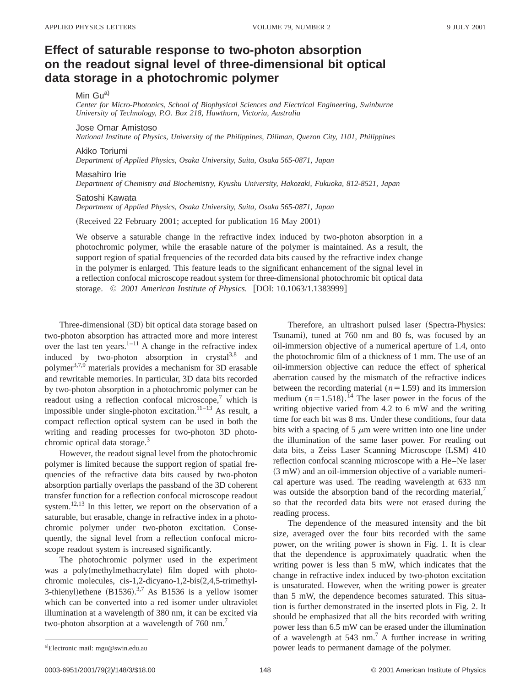# **Effect of saturable response to two-photon absorption on the readout signal level of three-dimensional bit optical data storage in a photochromic polymer**

## Min Gu<sup>a)</sup>

*Center for Micro-Photonics, School of Biophysical Sciences and Electrical Engineering, Swinburne University of Technology, P.O. Box 218, Hawthorn, Victoria, Australia*

### Jose Omar Amistoso

*National Institute of Physics, University of the Philippines, Diliman, Quezon City, 1101, Philippines*

## Akiko Toriumi

*Department of Applied Physics, Osaka University, Suita, Osaka 565-0871, Japan*

#### Masahiro Irie

*Department of Chemistry and Biochemistry, Kyushu University, Hakozaki, Fukuoka, 812-8521, Japan*

#### Satoshi Kawata

*Department of Applied Physics, Osaka University, Suita, Osaka 565-0871, Japan*

(Received 22 February 2001; accepted for publication 16 May 2001)

We observe a saturable change in the refractive index induced by two-photon absorption in a photochromic polymer, while the erasable nature of the polymer is maintained. As a result, the support region of spatial frequencies of the recorded data bits caused by the refractive index change in the polymer is enlarged. This feature leads to the significant enhancement of the signal level in a reflection confocal microscope readout system for three-dimensional photochromic bit optical data storage. © 2001 American Institute of Physics. [DOI: 10.1063/1.1383999]

Three-dimensional (3D) bit optical data storage based on two-photon absorption has attracted more and more interest over the last ten years. $1-11$  A change in the refractive index induced by two-photon absorption in crystal<sup>3,8</sup> and polymer<sup>3,7,9</sup> materials provides a mechanism for 3D erasable and rewritable memories. In particular, 3D data bits recorded by two-photon absorption in a photochromic polymer can be readout using a reflection confocal microscope, $\frac{7}{1}$  which is impossible under single-photon excitation.<sup>11–13</sup> As result, a compact reflection optical system can be used in both the writing and reading processes for two-photon 3D photochromic optical data storage.<sup>3</sup>

However, the readout signal level from the photochromic polymer is limited because the support region of spatial frequencies of the refractive data bits caused by two-photon absorption partially overlaps the passband of the 3D coherent transfer function for a reflection confocal microscope readout system.12,13 In this letter, we report on the observation of a saturable, but erasable, change in refractive index in a photochromic polymer under two-photon excitation. Consequently, the signal level from a reflection confocal microscope readout system is increased significantly.

The photochromic polymer used in the experiment was a poly(methylmethacrylate) film doped with photochromic molecules, cis-1,2-dicyano-1,2-bis(2,4,5-trimethyl-3-thienyl) ethene  $(B1536).^{3,7}$  As B1536 is a yellow isomer which can be converted into a red isomer under ultraviolet illumination at a wavelength of 380 nm, it can be excited via two-photon absorption at a wavelength of 760 nm.<sup>7</sup>

Therefore, an ultrashort pulsed laser (Spectra-Physics: Tsunami), tuned at 760 nm and 80 fs, was focused by an oil-immersion objective of a numerical aperture of 1.4, onto the photochromic film of a thickness of 1 mm. The use of an oil-immersion objective can reduce the effect of spherical aberration caused by the mismatch of the refractive indices between the recording material  $(n=1.59)$  and its immersion medium  $(n=1.518)$ .<sup>14</sup> The laser power in the focus of the writing objective varied from 4.2 to 6 mW and the writing time for each bit was 8 ms. Under these conditions, four data bits with a spacing of 5  $\mu$ m were written into one line under the illumination of the same laser power. For reading out data bits, a Zeiss Laser Scanning Microscope (LSM) 410 reflection confocal scanning microscope with a He–Ne laser  $(3 \text{ mW})$  and an oil-immersion objective of a variable numerical aperture was used. The reading wavelength at 633 nm was outside the absorption band of the recording material, so that the recorded data bits were not erased during the reading process.

The dependence of the measured intensity and the bit size, averaged over the four bits recorded with the same power, on the writing power is shown in Fig. 1. It is clear that the dependence is approximately quadratic when the writing power is less than 5 mW, which indicates that the change in refractive index induced by two-photon excitation is unsaturated. However, when the writing power is greater than 5 mW, the dependence becomes saturated. This situation is further demonstrated in the inserted plots in Fig. 2. It should be emphasized that all the bits recorded with writing power less than 6.5 mW can be erased under the illumination of a wavelength at  $543$  nm.<sup>7</sup> A further increase in writing power leads to permanent damage of the polymer.

Electronic mail: mgu@swin.edu.au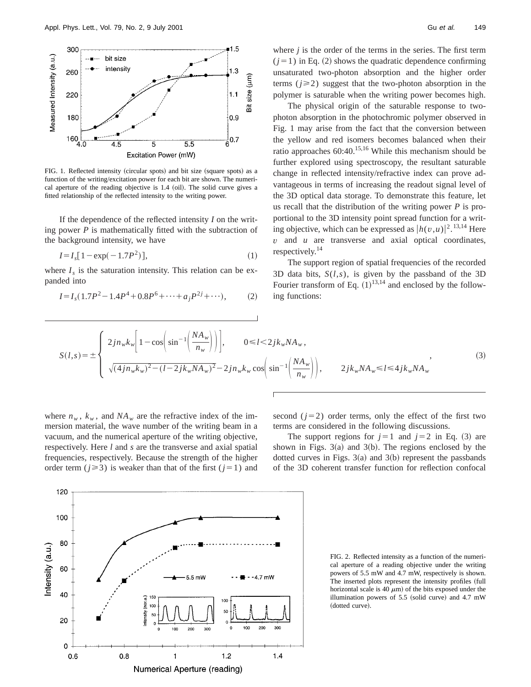

FIG. 1. Reflected intensity (circular spots) and bit size (square spots) as a function of the writing/excitation power for each bit are shown. The numerical aperture of the reading objective is  $1.4$  (oil). The solid curve gives a fitted relationship of the reflected intensity to the writing power.

If the dependence of the reflected intensity *I* on the writing power *P* is mathematically fitted with the subtraction of the background intensity, we have

$$
I = I_s[1 - \exp(-1.7P^2)],
$$
 (1)

where  $I_s$  is the saturation intensity. This relation can be expanded into

$$
I = I_s(1.7P^2 - 1.4P^4 + 0.8P^6 + \dots + a_j P^{2j} + \dots),
$$
 (2)

where *j* is the order of the terms in the series. The first term  $(j=1)$  in Eq. (2) shows the quadratic dependence confirming unsaturated two-photon absorption and the higher order terms  $(j \geq 2)$  suggest that the two-photon absorption in the polymer is saturable when the writing power becomes high.

The physical origin of the saturable response to twophoton absorption in the photochromic polymer observed in Fig. 1 may arise from the fact that the conversion between the yellow and red isomers becomes balanced when their ratio approaches  $60:40$ .<sup>15,16</sup> While this mechanism should be further explored using spectroscopy, the resultant saturable change in reflected intensity/refractive index can prove advantageous in terms of increasing the readout signal level of the 3D optical data storage. To demonstrate this feature, let us recall that the distribution of the writing power *P* is proportional to the 3D intensity point spread function for a writing objective, which can be expressed as  $\left| h(v, u) \right|^2$ . <sup>13,14</sup> Here *v* and *u* are transverse and axial optical coordinates, respectively.14

The support region of spatial frequencies of the recorded 3D data bits, *S*(*l*,*s*), is given by the passband of the 3D Fourier transform of Eq.  $(1)^{13,14}$  and enclosed by the following functions:

$$
S(l,s) = \pm \begin{cases} 2jn_{w}k_{w} \left[1 - \cos\left(\sin^{-1}\left(\frac{NA_{w}}{n_{w}}\right)\right)\right], & 0 \le l < 2jk_{w}NA_{w}, \\ \sqrt{(4jn_{w}k_{w})^{2} - (l-2jk_{w}NA_{w})^{2}} - 2jn_{w}k_{w}\cos\left(\sin^{-1}\left(\frac{NA_{w}}{n_{w}}\right)\right), & 2jk_{w}NA_{w} \le l \le 4jk_{w}NA_{w} \end{cases}
$$
\n(3)

where  $n_w$ ,  $k_w$ , and  $NA_w$  are the refractive index of the immersion material, the wave number of the writing beam in a vacuum, and the numerical aperture of the writing objective, respectively. Here *l* and *s* are the transverse and axial spatial frequencies, respectively. Because the strength of the higher order term ( $j \ge 3$ ) is weaker than that of the first ( $j=1$ ) and second  $(j=2)$  order terms, only the effect of the first two terms are considered in the following discussions.

The support regions for  $j=1$  and  $j=2$  in Eq. (3) are shown in Figs.  $3(a)$  and  $3(b)$ . The regions enclosed by the dotted curves in Figs.  $3(a)$  and  $3(b)$  represent the passbands of the 3D coherent transfer function for reflection confocal

FIG. 2. Reflected intensity as a function of the numerical aperture of a reading objective under the writing powers of 5.5 mW and 4.7 mW, respectively is shown. The inserted plots represent the intensity profiles (full horizontal scale is 40  $\mu$ m) of the bits exposed under the illumination powers of  $5.5$  (solid curve) and  $4.7$  mW (dotted curve).